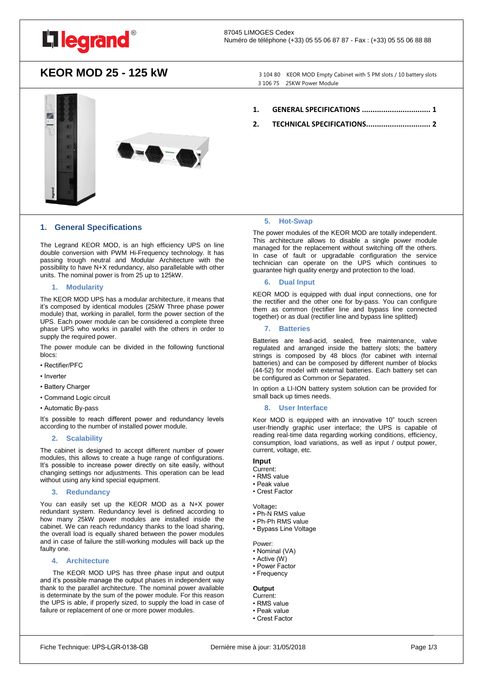

## KEOR MOD 25 - 125 kW<br>3 104 80 KEOR MOD Empty Cabinet with 5 PM slots / 10 battery slots

3 106 75 25KW Power Module



## <span id="page-0-0"></span>**1. General Specifications**

The Legrand KEOR MOD, is an high efficiency UPS on line double conversion with PWM Hi-Frequency technology. It has passing trough neutral and Modular Architecture with the possibility to have N+X redundancy, also parallelable with other units. The nominal power is from 25 up to 125kW.

## **1. Modularity**

The KEOR MOD UPS has a modular architecture, it means that it's composed by identical modules (25kW Three phase power module) that, working in parallel, form the power section of the UPS. Each power module can be considered a complete three phase UPS who works in parallel with the others in order to supply the required power.

The power module can be divided in the following functional blocs:

- Rectifier/PFC
- Inverter
- Battery Charger
- Command Logic circuit
- Automatic By-pass

It's possible to reach different power and redundancy levels according to the number of installed power module.

### **2. Scalability**

The cabinet is designed to accept different number of power modules, this allows to create a huge range of configurations. It's possible to increase power directly on site easily, without changing settings nor adjustments. This operation can be lead without using any kind special equipment.

#### **3. Redundancy**

You can easily set up the KEOR MOD as a N+X power redundant system. Redundancy level is defined according to how many 25kW power modules are installed inside the cabinet. We can reach redundancy thanks to the load sharing, the overall load is equally shared between the power modules and in case of failure the still-working modules will back up the faulty one.

## **4. Architecture**

 The KEOR MOD UPS has three phase input and output and it's possible manage the output phases in independent way thank to the parallel architecture. The nominal power available is determinate by the sum of the power module. For this reason the UPS is able, if properly sized, to supply the load in case of failure or replacement of one or more power modules.

- **1. [GENERAL SPECIFICATIONS](#page-0-0) ................................ 1**
- **2. [TECHNICAL SPECIFICATIONS..............................](#page-1-0) 2**

### **5. Hot-Swap**

The power modules of the KEOR MOD are totally independent. This architecture allows to disable a single power module managed for the replacement without switching off the others. In case of fault or upgradable configuration the service technician can operate on the UPS which continues to guarantee high quality energy and protection to the load.

## **6. Dual Input**

KEOR MOD is equipped with dual input connections, one for the rectifier and the other one for by-pass. You can configure them as common (rectifier line and bypass line connected together) or as dual (rectifier line and bypass line splitted)

#### **7. Batteries**

Batteries are lead-acid, sealed, free maintenance, valve regulated and arranged inside the battery slots; the battery strings is composed by 48 blocs (for cabinet with internal batteries) and can be composed by different number of blocks (44-52) for model with external batteries. Each battery set can be configured as Common or Separated.

In option a LI-ION battery system solution can be provided for small back up times needs.

#### **8. User Interface**

Keor MOD is equipped with an innovative 10" touch screen user-friendly graphic user interface; the UPS is capable of reading real-time data regarding working conditions, efficiency, consumption, load variations, as well as input / output power, current, voltage, etc.

## **Input**

- Current:
- RMS value • Peak value
- Crest Factor
- Voltage<sup>.</sup>
- Ph-N RMS value
- Ph-Ph RMS value
- Bypass Line Voltage

Power:

• Nominal (VA)

- Active (W)
- Power Factor
- Frequency

## **Output**

- Current:
- RMS value • Peak value
- Crest Factor
-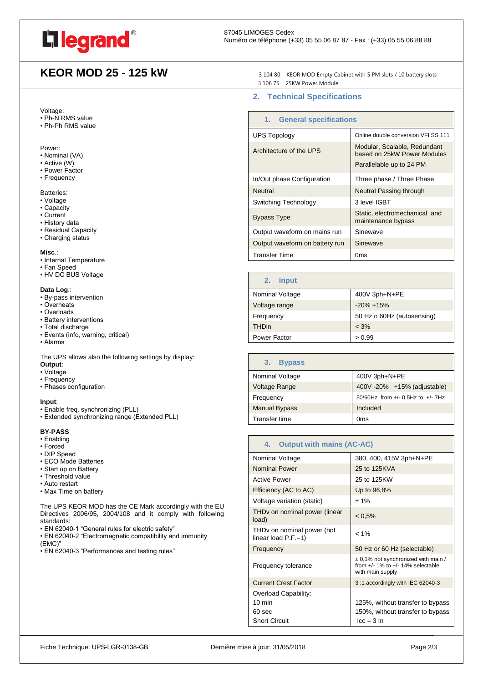

# KEOR MOD 25 - 125 kW<br>3 104 80 KEOR MOD Empty Cabinet with 5 PM slots / 10 battery slots

Voltage:

- Ph-N RMS value
- Ph-Ph RMS value

#### Power:

- Nominal (VA)
- Active (W)
- Power Factor
- Frequency

Batteries:

- Voltage
- Capacity
- Current
- History data
- Residual Capacity
- Charging status

#### **Misc**.:

- Internal Temperature
- Fan Speed
- HV DC BUS Voltage

## **Data Log**.:

- By-pass intervention
- Overheats
- Overloads
- Battery interventions
- Total discharge
- Events (info, warning, critical)
- Alarms

The UPS allows also the following settings by display: **Output**:

- Voltage
- Frequency
- Phases configuration

#### **Input**:

- Enable freq. synchronizing (PLL)
- Extended synchronizing range (Extended PLL)

#### **BY**-**PASS**

- Enabling
- Forced
- DIP Speed
- ECO Mode Batteries
- Start up on Battery
- Threshold value
- Auto restart
- Max Time on battery

The UPS KEOR MOD has the CE Mark accordingly with the EU Directives 2006/95, 2004/108 and it comply with following standards:

• EN 62040-1 "General rules for electric safety"

- EN 62040-2 "Electromagnetic compatibility and immunity (EMC)"
- EN 62040-3 "Performances and testing rules"

3 106 75 25KW Power Module

## <span id="page-1-0"></span>**2. Technical Specifications**

| 1. General specifications      |                                                                                         |
|--------------------------------|-----------------------------------------------------------------------------------------|
| <b>UPS Topology</b>            | Online double conversion VFI SS 111                                                     |
| Architecture of the UPS        | Modular, Scalable, Redundant<br>based on 25kW Power Modules<br>Parallelable up to 24 PM |
| In/Out phase Configuration     | Three phase / Three Phase                                                               |
| <b>Neutral</b>                 | Neutral Passing through                                                                 |
| Switching Technology           | 3 level IGBT                                                                            |
| <b>Bypass Type</b>             | Static, electromechanical and<br>maintenance bypass                                     |
| Output waveform on mains run   | Sinewave                                                                                |
| Output waveform on battery run | Sinewave                                                                                |
| Transfer Time                  | 0ms                                                                                     |

| <b>Input</b><br>2. |                            |
|--------------------|----------------------------|
| Nominal Voltage    | 400V 3ph+N+PE              |
| Voltage range      | $-20\% + 15\%$             |
| Frequency          | 50 Hz o 60Hz (autosensing) |
| <b>THDin</b>       | $< 3\%$                    |
| Power Factor       | > 0.99                     |

| <b>Bypass</b><br>3.  |                                            |
|----------------------|--------------------------------------------|
| Nominal Voltage      | 400V 3ph+N+PE                              |
| Voltage Range        | 400V-20% +15% (adjustable)                 |
| Frequency            | $50/60$ Hz from $+/- 0.5$ Hz to $+/- 7$ Hz |
| <b>Manual Bypass</b> | Included                                   |
| Transfer time        | Oms                                        |

| <b>Output with mains (AC-AC)</b><br>4.                           |                                                                                                      |
|------------------------------------------------------------------|------------------------------------------------------------------------------------------------------|
| Nominal Voltage                                                  | 380, 400, 415V 3ph+N+PE                                                                              |
| <b>Nominal Power</b>                                             | 25 to 125KVA                                                                                         |
| <b>Active Power</b>                                              | 25 to 125KW                                                                                          |
| Efficiency (AC to AC)                                            | Up to 96,8%                                                                                          |
| Voltage variation (static)                                       | $± 1\%$                                                                                              |
| THDv on nominal power (linear<br>load)                           | $< 0.5\%$                                                                                            |
| THD <sub>v</sub> on nominal power (not<br>linear load $P.F.=1$ ) | $< 1\%$                                                                                              |
| Frequency                                                        | 50 Hz or 60 Hz (selectable)                                                                          |
| Frequency tolerance                                              | $\pm$ 0,1% not synchronized with main /<br>from $+/-$ 1% to $+/-$ 14% selectable<br>with main supply |
| <b>Current Crest Factor</b>                                      | 3:1 accordingly with IEC 62040-3                                                                     |
| Overload Capability:                                             |                                                                                                      |
| $10 \text{ min}$                                                 | 125%, without transfer to bypass                                                                     |
| 60 sec                                                           | 150%, without transfer to bypass                                                                     |
| <b>Short Circuit</b>                                             | $lcc = 3 ln$                                                                                         |